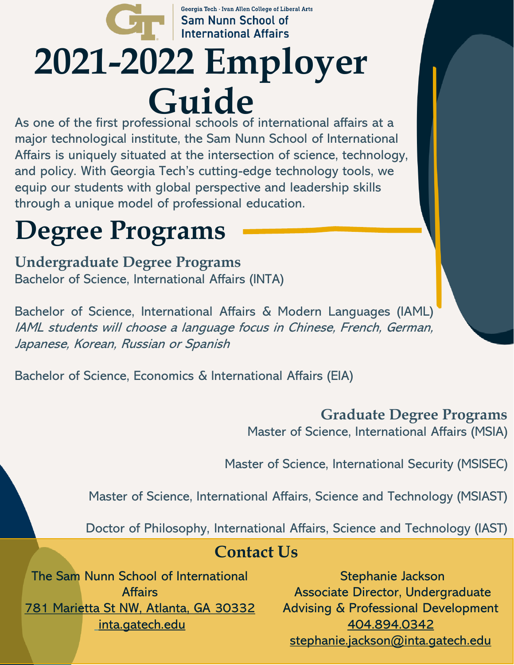### Georgia Tech · Ivan Allen College of Liberal Arts Sam Nunn School of **International Affairs 2021-2022 Employer Guide**

As one of the first professional schools of international affairs at a major technological institute, the Sam Nunn School of International Affairs is uniquely situated at the intersection of science, technology, and policy. With Georgia Tech's cutting-edge technology tools, we equip our students with global perspective and leadership skills through a unique model of professional education.

## **Degree Programs**

**Undergraduate Degree Programs** Bachelor of Science, International Affairs (INTA)

Bachelor of Science, International Affairs & Modern Languages (IAML) IAML students will choose <sup>a</sup> language focus in Chinese, French, German, Japanese, Korean, Russian or Spanish

Bachelor of Science, Economics & International Affairs (EIA)

#### **Graduate Degree Programs**

Master of Science, International Affairs (MSIA)

Master of Science, International Security (MSISEC)

Master of Science, International Affairs, Science and Technology (MSIAST)

Doctor of Philosophy, International Affairs, Science and Technology (IAST)

#### **Contact Us**

The Sam Nunn School of International **Affairs** [781 Marietta St NW, Atlanta, GA 30332](https://goo.gl/maps/M1m6DHWTLL9G5pqU6) [inta.gatech.edu](http://www.inta.gatech.edu/)

Stephanie Jackson Associate Director, Undergraduate Advising & Professional Development [404.894.0342](tel://4048940342/) [stephanie.jackson@inta.gatech.edu](mailto:stephanie.jackson@inta.gatech.edu)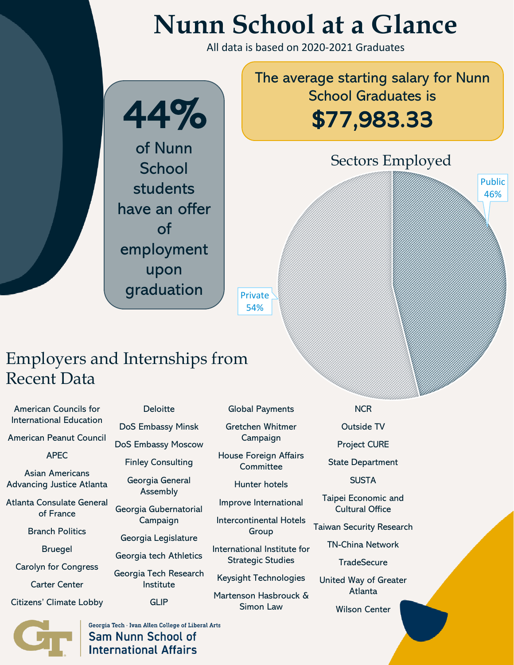# **Nunn School at a Glance**

All data is based on 2020-2021 Graduates



#### Employers and Internships from Recent Data

American Councils for International Education

American Peanut Council

APEC

Asian Americans Advancing Justice Atlanta

Atlanta Consulate General of France

Branch Politics

Bruegel

Carolyn for Congress

Carter Center

Citizens' Climate Lobby

**Deloitte** 

DoS Embassy Minsk

DoS Embassy Moscow

Finley Consulting

Georgia General Assembly

Georgia Gubernatorial Campaign

Georgia Legislature

Georgia tech Athletics

Georgia Tech Research Institute

**GLIP** 

Global Payments

Gretchen Whitmer Campaign

House Foreign Affairs **Committee** 

Hunter hotels

Improve International

Intercontinental Hotels Group

International Institute for Strategic Studies

Keysight Technologies

Martenson Hasbrouck & Simon Law

**NCR** 

Outside TV

Project CURE

State Department

**SUSTA** 

Taipei Economic and Cultural Office

Taiwan Security Research

TN-China Network

**TradeSecure** 

United Way of Greater Atlanta

Wilson Center



Georgia Tech · Ivan Allen College of Liberal Arts **Sam Nunn School of International Affairs**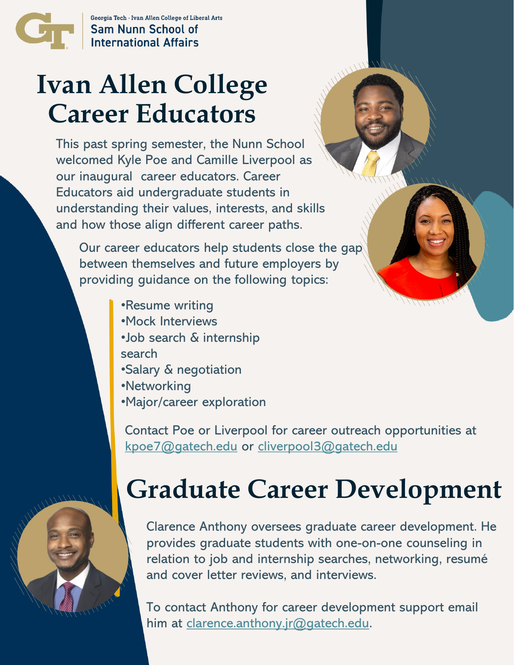

Georgia Tech - Ivan Allen College of Liberal Arts **Sam Nunn School of International Affairs** 

## **Ivan Allen College Career Educators**

This past spring semester, the Nunn School welcomed Kyle Poe and Camille Liverpool as our inaugural career educators. Career Educators aid undergraduate students in understanding their values, interests, and skills and how those align different career paths.

Our career educators help students close the gap between themselves and future employers by providing guidance on the following topics:

- •Resume writing
- •Mock Interviews
- •Job search & internship search
- •Salary & negotiation
- •Networking
- •Major/career exploration

Contact Poe or Liverpool for career outreach opportunities at [kpoe7@gatech.edu](mailto:kpoe7@gatech.edu) or [cliverpool3@gatech.edu](mailto:cliverpool3@gatech.edu) 



# **Graduate Career Development**

Clarence Anthony oversees graduate career development. He provides graduate students with one-on-one counseling in relation to job and internship searches, networking, resumé and cover letter reviews, and interviews.

To contact Anthony for career development support email him at [clarence.anthony.jr@gatech.edu.](mailto:clarence.anthony.jr@gatech.edu)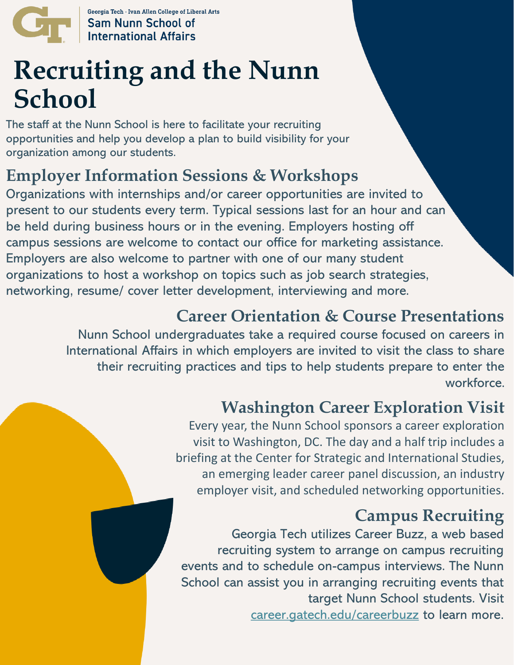

Georgia Tech · Ivan Allen College of Liberal Arts **Sam Nunn School of<br>International Affairs** 

# **Recruiting and the Nunn School**

The staff at the Nunn School is here to facilitate your recruiting opportunities and help you develop a plan to build visibility for your organization among our students.

#### **Employer Information Sessions & Workshops**

Organizations with internships and/or career opportunities are invited to present to our students every term. Typical sessions last for an hour and can be held during business hours or in the evening. Employers hosting off campus sessions are welcome to contact our office for marketing assistance. Employers are also welcome to partner with one of our many student organizations to host a workshop on topics such as job search strategies, networking, resume/ cover letter development, interviewing and more.

#### **Career Orientation & Course Presentations**

Nunn School undergraduates take a required course focused on careers in International Affairs in which employers are invited to visit the class to share their recruiting practices and tips to help students prepare to enter the workforce.

#### **Washington Career Exploration Visit**

Every year, the Nunn School sponsors a career exploration visit to Washington, DC. The day and a half trip includes a briefing at the Center for Strategic and International Studies, an emerging leader career panel discussion, an industry employer visit, and scheduled networking opportunities.

#### **Campus Recruiting**

Georgia Tech utilizes Career Buzz, a web based recruiting system to arrange on campus recruiting events and to schedule on-campus interviews. The Nunn School can assist you in arranging recruiting events that target Nunn School students. Visit [career.gatech.edu/careerbuzz](http://career.gatech.edu/careerbuzz) to learn more.